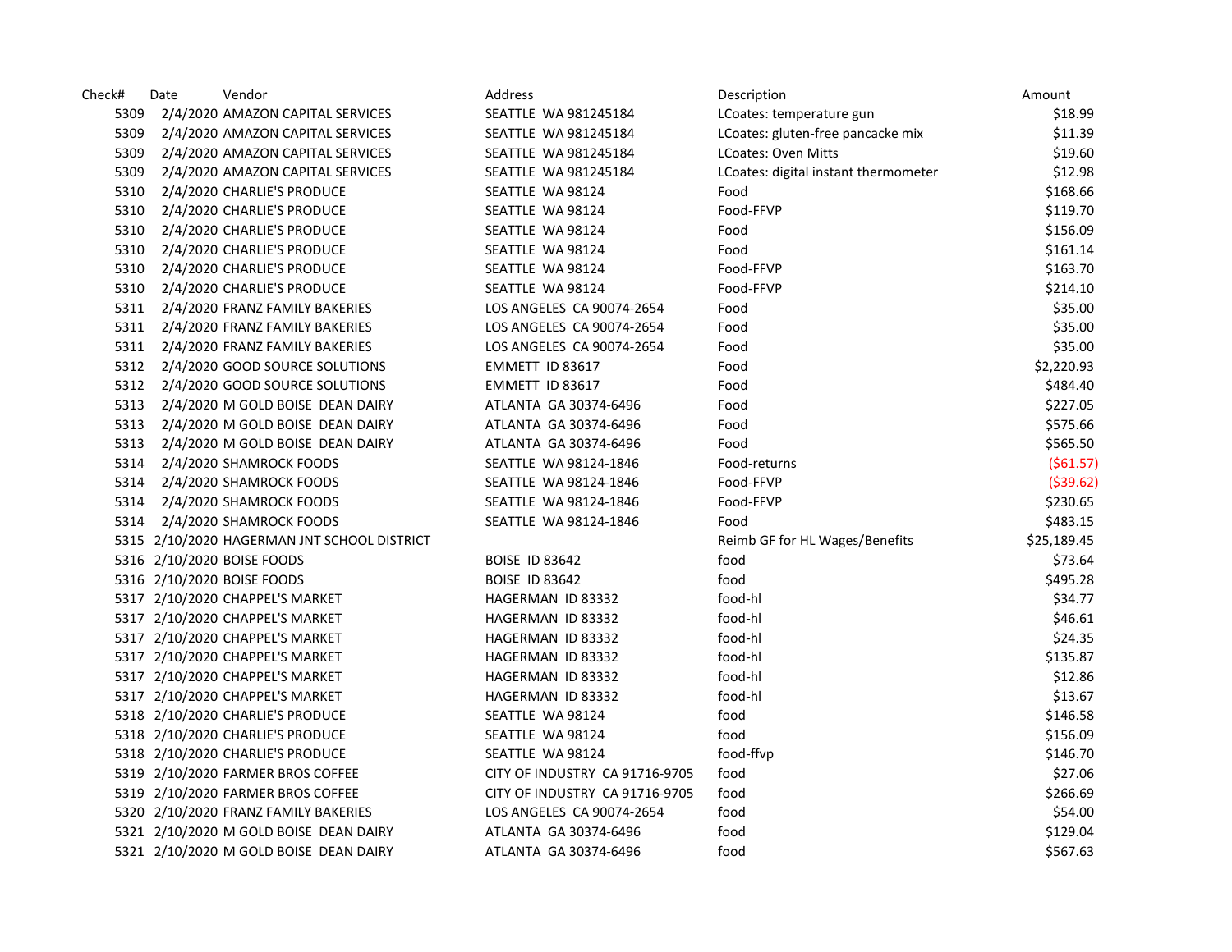| Check# | Date | Vendor                                      | <b>Address</b>                 | Description                          | Amount      |
|--------|------|---------------------------------------------|--------------------------------|--------------------------------------|-------------|
| 5309   |      | 2/4/2020 AMAZON CAPITAL SERVICES            | SEATTLE WA 981245184           | LCoates: temperature gun             | \$18.99     |
| 5309   |      | 2/4/2020 AMAZON CAPITAL SERVICES            | SEATTLE WA 981245184           | LCoates: gluten-free pancacke mix    | \$11.39     |
| 5309   |      | 2/4/2020 AMAZON CAPITAL SERVICES            | SEATTLE WA 981245184           | LCoates: Oven Mitts                  | \$19.60     |
| 5309   |      | 2/4/2020 AMAZON CAPITAL SERVICES            | SEATTLE WA 981245184           | LCoates: digital instant thermometer | \$12.98     |
| 5310   |      | 2/4/2020 CHARLIE'S PRODUCE                  | SEATTLE WA 98124               | Food                                 | \$168.66    |
| 5310   |      | 2/4/2020 CHARLIE'S PRODUCE                  | SEATTLE WA 98124               | Food-FFVP                            | \$119.70    |
| 5310   |      | 2/4/2020 CHARLIE'S PRODUCE                  | SEATTLE WA 98124               | Food                                 | \$156.09    |
| 5310   |      | 2/4/2020 CHARLIE'S PRODUCE                  | SEATTLE WA 98124               | Food                                 | \$161.14    |
| 5310   |      | 2/4/2020 CHARLIE'S PRODUCE                  | SEATTLE WA 98124               | Food-FFVP                            | \$163.70    |
| 5310   |      | 2/4/2020 CHARLIE'S PRODUCE                  | SEATTLE WA 98124               | Food-FFVP                            | \$214.10    |
| 5311   |      | 2/4/2020 FRANZ FAMILY BAKERIES              | LOS ANGELES CA 90074-2654      | Food                                 | \$35.00     |
| 5311   |      | 2/4/2020 FRANZ FAMILY BAKERIES              | LOS ANGELES CA 90074-2654      | Food                                 | \$35.00     |
| 5311   |      | 2/4/2020 FRANZ FAMILY BAKERIES              | LOS ANGELES CA 90074-2654      | Food                                 | \$35.00     |
| 5312   |      | 2/4/2020 GOOD SOURCE SOLUTIONS              | EMMETT ID 83617                | Food                                 | \$2,220.93  |
| 5312   |      | 2/4/2020 GOOD SOURCE SOLUTIONS              | EMMETT ID 83617                | Food                                 | \$484.40    |
| 5313   |      | 2/4/2020 M GOLD BOISE DEAN DAIRY            | ATLANTA GA 30374-6496          | Food                                 | \$227.05    |
| 5313   |      | 2/4/2020 M GOLD BOISE DEAN DAIRY            | ATLANTA GA 30374-6496          | Food                                 | \$575.66    |
| 5313   |      | 2/4/2020 M GOLD BOISE DEAN DAIRY            | ATLANTA GA 30374-6496          | Food                                 | \$565.50    |
| 5314   |      | 2/4/2020 SHAMROCK FOODS                     | SEATTLE WA 98124-1846          | Food-returns                         | (561.57)    |
| 5314   |      | 2/4/2020 SHAMROCK FOODS                     | SEATTLE WA 98124-1846          | Food-FFVP                            | ( \$39.62)  |
| 5314   |      | 2/4/2020 SHAMROCK FOODS                     | SEATTLE WA 98124-1846          | Food-FFVP                            | \$230.65    |
| 5314   |      | 2/4/2020 SHAMROCK FOODS                     | SEATTLE WA 98124-1846          | Food                                 | \$483.15    |
|        |      | 5315 2/10/2020 HAGERMAN JNT SCHOOL DISTRICT |                                | Reimb GF for HL Wages/Benefits       | \$25,189.45 |
|        |      | 5316 2/10/2020 BOISE FOODS                  | <b>BOISE ID 83642</b>          | food                                 | \$73.64     |
|        |      | 5316 2/10/2020 BOISE FOODS                  | <b>BOISE ID 83642</b>          | food                                 | \$495.28    |
|        |      | 5317 2/10/2020 CHAPPEL'S MARKET             | HAGERMAN ID 83332              | food-hl                              | \$34.77     |
|        |      | 5317 2/10/2020 CHAPPEL'S MARKET             | HAGERMAN ID 83332              | food-hl                              | \$46.61     |
|        |      | 5317 2/10/2020 CHAPPEL'S MARKET             | HAGERMAN ID 83332              | food-hl                              | \$24.35     |
|        |      | 5317 2/10/2020 CHAPPEL'S MARKET             | HAGERMAN ID 83332              | food-hl                              | \$135.87    |
|        |      | 5317 2/10/2020 CHAPPEL'S MARKET             | HAGERMAN ID 83332              | food-hl                              | \$12.86     |
|        |      | 5317 2/10/2020 CHAPPEL'S MARKET             | HAGERMAN ID 83332              | food-hl                              | \$13.67     |
|        |      | 5318 2/10/2020 CHARLIE'S PRODUCE            | SEATTLE WA 98124               | food                                 | \$146.58    |
|        |      | 5318 2/10/2020 CHARLIE'S PRODUCE            | SEATTLE WA 98124               | food                                 | \$156.09    |
|        |      | 5318 2/10/2020 CHARLIE'S PRODUCE            | SEATTLE WA 98124               | food-ffvp                            | \$146.70    |
|        |      | 5319 2/10/2020 FARMER BROS COFFEE           | CITY OF INDUSTRY CA 91716-9705 | food                                 | \$27.06     |
|        |      | 5319 2/10/2020 FARMER BROS COFFEE           | CITY OF INDUSTRY CA 91716-9705 | food                                 | \$266.69    |
|        |      | 5320 2/10/2020 FRANZ FAMILY BAKERIES        | LOS ANGELES CA 90074-2654      | food                                 | \$54.00     |
|        |      | 5321 2/10/2020 M GOLD BOISE DEAN DAIRY      | ATLANTA GA 30374-6496          | food                                 | \$129.04    |
|        |      | 5321 2/10/2020 M GOLD BOISE DEAN DAIRY      | ATLANTA GA 30374-6496          | food                                 | \$567.63    |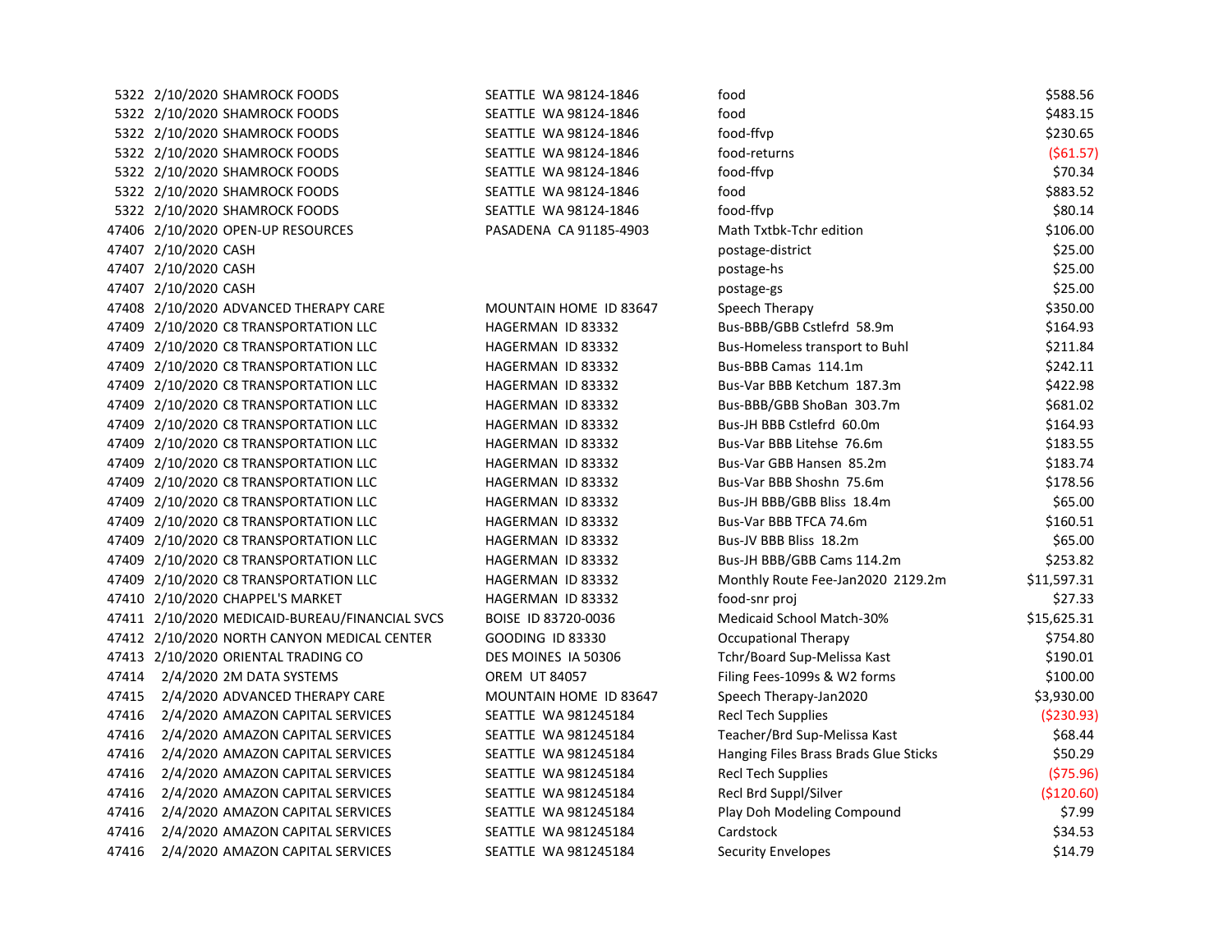|                                  | SEATTLE WA 98124-1846                                                                                                                                                                                                                                                                                                                                                                                                                                                                                                                                                                                                                                                                                                                                                                                                                                                                                                                                                                                                                                                                                                                                                                                                                                         | food                                  | \$588.56    |
|----------------------------------|---------------------------------------------------------------------------------------------------------------------------------------------------------------------------------------------------------------------------------------------------------------------------------------------------------------------------------------------------------------------------------------------------------------------------------------------------------------------------------------------------------------------------------------------------------------------------------------------------------------------------------------------------------------------------------------------------------------------------------------------------------------------------------------------------------------------------------------------------------------------------------------------------------------------------------------------------------------------------------------------------------------------------------------------------------------------------------------------------------------------------------------------------------------------------------------------------------------------------------------------------------------|---------------------------------------|-------------|
|                                  | SEATTLE WA 98124-1846                                                                                                                                                                                                                                                                                                                                                                                                                                                                                                                                                                                                                                                                                                                                                                                                                                                                                                                                                                                                                                                                                                                                                                                                                                         | food                                  | \$483.15    |
|                                  | SEATTLE WA 98124-1846                                                                                                                                                                                                                                                                                                                                                                                                                                                                                                                                                                                                                                                                                                                                                                                                                                                                                                                                                                                                                                                                                                                                                                                                                                         | food-ffvp                             | \$230.65    |
|                                  | SEATTLE WA 98124-1846                                                                                                                                                                                                                                                                                                                                                                                                                                                                                                                                                                                                                                                                                                                                                                                                                                                                                                                                                                                                                                                                                                                                                                                                                                         | food-returns                          | (561.57)    |
|                                  | SEATTLE WA 98124-1846                                                                                                                                                                                                                                                                                                                                                                                                                                                                                                                                                                                                                                                                                                                                                                                                                                                                                                                                                                                                                                                                                                                                                                                                                                         | food-ffvp                             | \$70.34     |
|                                  | SEATTLE WA 98124-1846                                                                                                                                                                                                                                                                                                                                                                                                                                                                                                                                                                                                                                                                                                                                                                                                                                                                                                                                                                                                                                                                                                                                                                                                                                         | food                                  | \$883.52    |
|                                  | SEATTLE WA 98124-1846                                                                                                                                                                                                                                                                                                                                                                                                                                                                                                                                                                                                                                                                                                                                                                                                                                                                                                                                                                                                                                                                                                                                                                                                                                         | food-ffvp                             | \$80.14     |
|                                  | PASADENA CA 91185-4903                                                                                                                                                                                                                                                                                                                                                                                                                                                                                                                                                                                                                                                                                                                                                                                                                                                                                                                                                                                                                                                                                                                                                                                                                                        | Math Txtbk-Tchr edition               | \$106.00    |
|                                  |                                                                                                                                                                                                                                                                                                                                                                                                                                                                                                                                                                                                                                                                                                                                                                                                                                                                                                                                                                                                                                                                                                                                                                                                                                                               | postage-district                      | \$25.00     |
|                                  |                                                                                                                                                                                                                                                                                                                                                                                                                                                                                                                                                                                                                                                                                                                                                                                                                                                                                                                                                                                                                                                                                                                                                                                                                                                               | postage-hs                            | \$25.00     |
|                                  |                                                                                                                                                                                                                                                                                                                                                                                                                                                                                                                                                                                                                                                                                                                                                                                                                                                                                                                                                                                                                                                                                                                                                                                                                                                               | postage-gs                            | \$25.00     |
|                                  | MOUNTAIN HOME ID 83647                                                                                                                                                                                                                                                                                                                                                                                                                                                                                                                                                                                                                                                                                                                                                                                                                                                                                                                                                                                                                                                                                                                                                                                                                                        | Speech Therapy                        | \$350.00    |
|                                  | HAGERMAN ID 83332                                                                                                                                                                                                                                                                                                                                                                                                                                                                                                                                                                                                                                                                                                                                                                                                                                                                                                                                                                                                                                                                                                                                                                                                                                             | Bus-BBB/GBB Cstlefrd 58.9m            | \$164.93    |
|                                  | HAGERMAN ID 83332                                                                                                                                                                                                                                                                                                                                                                                                                                                                                                                                                                                                                                                                                                                                                                                                                                                                                                                                                                                                                                                                                                                                                                                                                                             | <b>Bus-Homeless transport to Buhl</b> | \$211.84    |
|                                  | HAGERMAN ID 83332                                                                                                                                                                                                                                                                                                                                                                                                                                                                                                                                                                                                                                                                                                                                                                                                                                                                                                                                                                                                                                                                                                                                                                                                                                             | Bus-BBB Camas 114.1m                  | \$242.11    |
|                                  | HAGERMAN ID 83332                                                                                                                                                                                                                                                                                                                                                                                                                                                                                                                                                                                                                                                                                                                                                                                                                                                                                                                                                                                                                                                                                                                                                                                                                                             | Bus-Var BBB Ketchum 187.3m            | \$422.98    |
|                                  | HAGERMAN ID 83332                                                                                                                                                                                                                                                                                                                                                                                                                                                                                                                                                                                                                                                                                                                                                                                                                                                                                                                                                                                                                                                                                                                                                                                                                                             | Bus-BBB/GBB ShoBan 303.7m             | \$681.02    |
|                                  | HAGERMAN ID 83332                                                                                                                                                                                                                                                                                                                                                                                                                                                                                                                                                                                                                                                                                                                                                                                                                                                                                                                                                                                                                                                                                                                                                                                                                                             | Bus-JH BBB Cstlefrd 60.0m             | \$164.93    |
|                                  | HAGERMAN ID 83332                                                                                                                                                                                                                                                                                                                                                                                                                                                                                                                                                                                                                                                                                                                                                                                                                                                                                                                                                                                                                                                                                                                                                                                                                                             | Bus-Var BBB Litehse 76.6m             | \$183.55    |
|                                  | HAGERMAN ID 83332                                                                                                                                                                                                                                                                                                                                                                                                                                                                                                                                                                                                                                                                                                                                                                                                                                                                                                                                                                                                                                                                                                                                                                                                                                             | Bus-Var GBB Hansen 85.2m              | \$183.74    |
|                                  | HAGERMAN ID 83332                                                                                                                                                                                                                                                                                                                                                                                                                                                                                                                                                                                                                                                                                                                                                                                                                                                                                                                                                                                                                                                                                                                                                                                                                                             | Bus-Var BBB Shoshn 75.6m              | \$178.56    |
|                                  | HAGERMAN ID 83332                                                                                                                                                                                                                                                                                                                                                                                                                                                                                                                                                                                                                                                                                                                                                                                                                                                                                                                                                                                                                                                                                                                                                                                                                                             | Bus-JH BBB/GBB Bliss 18.4m            | \$65.00     |
|                                  | HAGERMAN ID 83332                                                                                                                                                                                                                                                                                                                                                                                                                                                                                                                                                                                                                                                                                                                                                                                                                                                                                                                                                                                                                                                                                                                                                                                                                                             | Bus-Var BBB TFCA 74.6m                | \$160.51    |
|                                  | HAGERMAN ID 83332                                                                                                                                                                                                                                                                                                                                                                                                                                                                                                                                                                                                                                                                                                                                                                                                                                                                                                                                                                                                                                                                                                                                                                                                                                             | Bus-JV BBB Bliss 18.2m                | \$65.00     |
|                                  | HAGERMAN ID 83332                                                                                                                                                                                                                                                                                                                                                                                                                                                                                                                                                                                                                                                                                                                                                                                                                                                                                                                                                                                                                                                                                                                                                                                                                                             | Bus-JH BBB/GBB Cams 114.2m            | \$253.82    |
|                                  | HAGERMAN ID 83332                                                                                                                                                                                                                                                                                                                                                                                                                                                                                                                                                                                                                                                                                                                                                                                                                                                                                                                                                                                                                                                                                                                                                                                                                                             | Monthly Route Fee-Jan2020 2129.2m     | \$11,597.31 |
|                                  | HAGERMAN ID 83332                                                                                                                                                                                                                                                                                                                                                                                                                                                                                                                                                                                                                                                                                                                                                                                                                                                                                                                                                                                                                                                                                                                                                                                                                                             | food-snr proj                         | \$27.33     |
|                                  | BOISE ID 83720-0036                                                                                                                                                                                                                                                                                                                                                                                                                                                                                                                                                                                                                                                                                                                                                                                                                                                                                                                                                                                                                                                                                                                                                                                                                                           | <b>Medicaid School Match-30%</b>      | \$15,625.31 |
|                                  | GOODING ID 83330                                                                                                                                                                                                                                                                                                                                                                                                                                                                                                                                                                                                                                                                                                                                                                                                                                                                                                                                                                                                                                                                                                                                                                                                                                              | <b>Occupational Therapy</b>           | \$754.80    |
|                                  | DES MOINES IA 50306                                                                                                                                                                                                                                                                                                                                                                                                                                                                                                                                                                                                                                                                                                                                                                                                                                                                                                                                                                                                                                                                                                                                                                                                                                           | Tchr/Board Sup-Melissa Kast           | \$190.01    |
| 2/4/2020 2M DATA SYSTEMS         | <b>OREM UT 84057</b>                                                                                                                                                                                                                                                                                                                                                                                                                                                                                                                                                                                                                                                                                                                                                                                                                                                                                                                                                                                                                                                                                                                                                                                                                                          | Filing Fees-1099s & W2 forms          | \$100.00    |
| 2/4/2020 ADVANCED THERAPY CARE   | MOUNTAIN HOME ID 83647                                                                                                                                                                                                                                                                                                                                                                                                                                                                                                                                                                                                                                                                                                                                                                                                                                                                                                                                                                                                                                                                                                                                                                                                                                        | Speech Therapy-Jan2020                | \$3,930.00  |
| 2/4/2020 AMAZON CAPITAL SERVICES | SEATTLE WA 981245184                                                                                                                                                                                                                                                                                                                                                                                                                                                                                                                                                                                                                                                                                                                                                                                                                                                                                                                                                                                                                                                                                                                                                                                                                                          | <b>Recl Tech Supplies</b>             | ( \$230.93) |
| 2/4/2020 AMAZON CAPITAL SERVICES | SEATTLE WA 981245184                                                                                                                                                                                                                                                                                                                                                                                                                                                                                                                                                                                                                                                                                                                                                                                                                                                                                                                                                                                                                                                                                                                                                                                                                                          | Teacher/Brd Sup-Melissa Kast          | \$68.44     |
| 2/4/2020 AMAZON CAPITAL SERVICES | SEATTLE WA 981245184                                                                                                                                                                                                                                                                                                                                                                                                                                                                                                                                                                                                                                                                                                                                                                                                                                                                                                                                                                                                                                                                                                                                                                                                                                          | Hanging Files Brass Brads Glue Sticks | \$50.29     |
| 2/4/2020 AMAZON CAPITAL SERVICES | SEATTLE WA 981245184                                                                                                                                                                                                                                                                                                                                                                                                                                                                                                                                                                                                                                                                                                                                                                                                                                                                                                                                                                                                                                                                                                                                                                                                                                          | <b>Recl Tech Supplies</b>             | (575.96)    |
| 2/4/2020 AMAZON CAPITAL SERVICES | SEATTLE WA 981245184                                                                                                                                                                                                                                                                                                                                                                                                                                                                                                                                                                                                                                                                                                                                                                                                                                                                                                                                                                                                                                                                                                                                                                                                                                          | Recl Brd Suppl/Silver                 | (\$120.60)  |
| 2/4/2020 AMAZON CAPITAL SERVICES | SEATTLE WA 981245184                                                                                                                                                                                                                                                                                                                                                                                                                                                                                                                                                                                                                                                                                                                                                                                                                                                                                                                                                                                                                                                                                                                                                                                                                                          | Play Doh Modeling Compound            | \$7.99      |
| 2/4/2020 AMAZON CAPITAL SERVICES | SEATTLE WA 981245184                                                                                                                                                                                                                                                                                                                                                                                                                                                                                                                                                                                                                                                                                                                                                                                                                                                                                                                                                                                                                                                                                                                                                                                                                                          | Cardstock                             | \$34.53     |
| 2/4/2020 AMAZON CAPITAL SERVICES | SEATTLE WA 981245184                                                                                                                                                                                                                                                                                                                                                                                                                                                                                                                                                                                                                                                                                                                                                                                                                                                                                                                                                                                                                                                                                                                                                                                                                                          | Security Envelopes                    | \$14.79     |
|                                  | 5322 2/10/2020 SHAMROCK FOODS<br>5322 2/10/2020 SHAMROCK FOODS<br>5322 2/10/2020 SHAMROCK FOODS<br>5322 2/10/2020 SHAMROCK FOODS<br>5322 2/10/2020 SHAMROCK FOODS<br>5322 2/10/2020 SHAMROCK FOODS<br>5322 2/10/2020 SHAMROCK FOODS<br>47406 2/10/2020 OPEN-UP RESOURCES<br>47407 2/10/2020 CASH<br>47407 2/10/2020 CASH<br>47407 2/10/2020 CASH<br>47408 2/10/2020 ADVANCED THERAPY CARE<br>47409 2/10/2020 C8 TRANSPORTATION LLC<br>47409 2/10/2020 C8 TRANSPORTATION LLC<br>47409 2/10/2020 C8 TRANSPORTATION LLC<br>47409 2/10/2020 C8 TRANSPORTATION LLC<br>47409 2/10/2020 C8 TRANSPORTATION LLC<br>47409 2/10/2020 C8 TRANSPORTATION LLC<br>47409 2/10/2020 C8 TRANSPORTATION LLC<br>47409 2/10/2020 C8 TRANSPORTATION LLC<br>47409 2/10/2020 C8 TRANSPORTATION LLC<br>47409 2/10/2020 C8 TRANSPORTATION LLC<br>47409 2/10/2020 C8 TRANSPORTATION LLC<br>47409 2/10/2020 C8 TRANSPORTATION LLC<br>47409 2/10/2020 C8 TRANSPORTATION LLC<br>47409 2/10/2020 C8 TRANSPORTATION LLC<br>47410 2/10/2020 CHAPPEL'S MARKET<br>47411 2/10/2020 MEDICAID-BUREAU/FINANCIAL SVCS<br>47412 2/10/2020 NORTH CANYON MEDICAL CENTER<br>47413 2/10/2020 ORIENTAL TRADING CO<br>47414<br>47415<br>47416<br>47416<br>47416<br>47416<br>47416<br>47416<br>47416<br>47416 |                                       |             |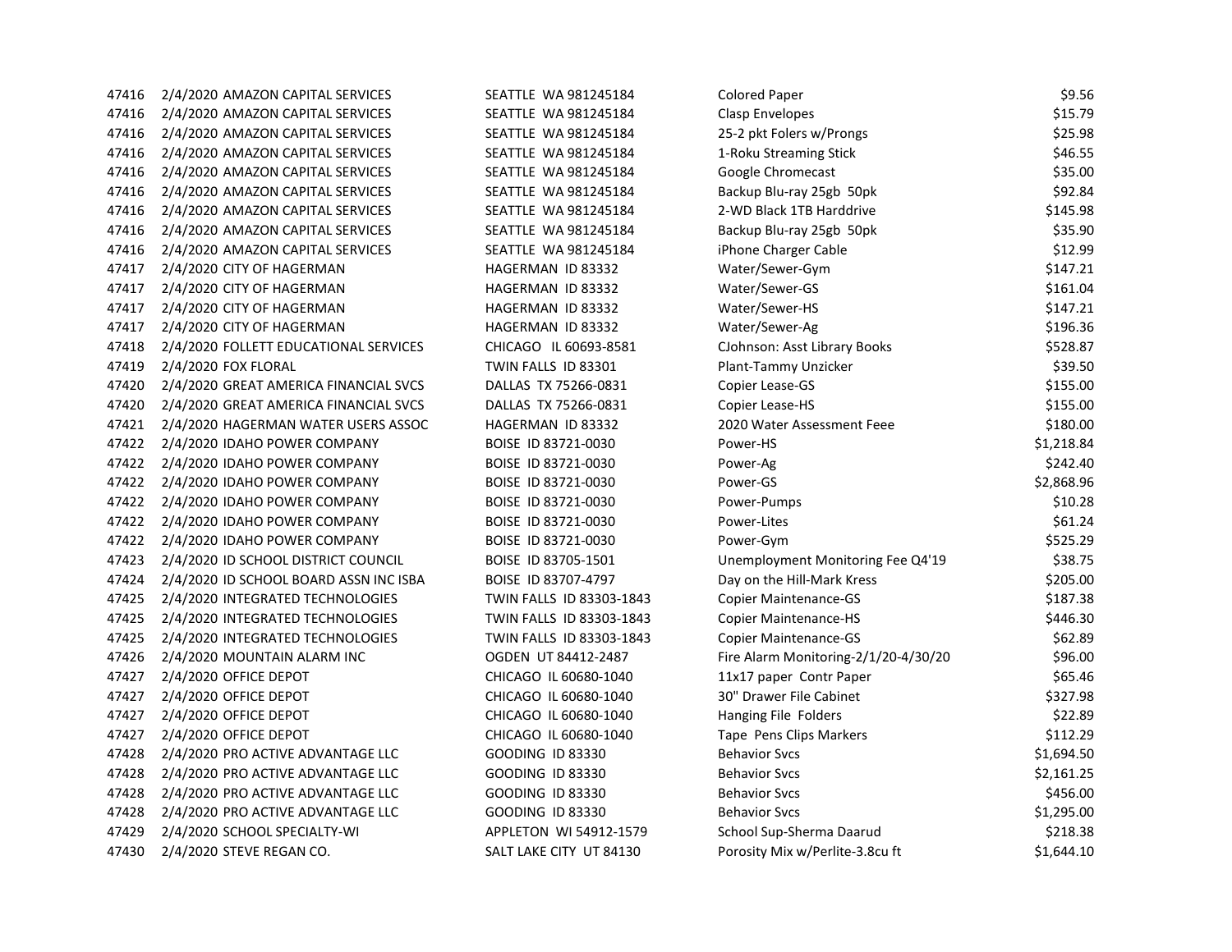| 47416 | 2/4/2020 AMAZON CAPITAL SERVICES       | SEATTLE WA 981245184     | <b>Colored Paper</b>                 | \$9.56     |
|-------|----------------------------------------|--------------------------|--------------------------------------|------------|
| 47416 | 2/4/2020 AMAZON CAPITAL SERVICES       | SEATTLE WA 981245184     | Clasp Envelopes                      | \$15.79    |
| 47416 | 2/4/2020 AMAZON CAPITAL SERVICES       | SEATTLE WA 981245184     | 25-2 pkt Folers w/Prongs             | \$25.98    |
| 47416 | 2/4/2020 AMAZON CAPITAL SERVICES       | SEATTLE WA 981245184     | 1-Roku Streaming Stick               | \$46.55    |
| 47416 | 2/4/2020 AMAZON CAPITAL SERVICES       | SEATTLE WA 981245184     | Google Chromecast                    | \$35.00    |
| 47416 | 2/4/2020 AMAZON CAPITAL SERVICES       | SEATTLE WA 981245184     | Backup Blu-ray 25gb 50pk             | \$92.84    |
| 47416 | 2/4/2020 AMAZON CAPITAL SERVICES       | SEATTLE WA 981245184     | 2-WD Black 1TB Harddrive             | \$145.98   |
| 47416 | 2/4/2020 AMAZON CAPITAL SERVICES       | SEATTLE WA 981245184     | Backup Blu-ray 25gb 50pk             | \$35.90    |
| 47416 | 2/4/2020 AMAZON CAPITAL SERVICES       | SEATTLE WA 981245184     | iPhone Charger Cable                 | \$12.99    |
| 47417 | 2/4/2020 CITY OF HAGERMAN              | HAGERMAN ID 83332        | Water/Sewer-Gym                      | \$147.21   |
| 47417 | 2/4/2020 CITY OF HAGERMAN              | HAGERMAN ID 83332        | Water/Sewer-GS                       | \$161.04   |
| 47417 | 2/4/2020 CITY OF HAGERMAN              | HAGERMAN ID 83332        | Water/Sewer-HS                       | \$147.21   |
| 47417 | 2/4/2020 CITY OF HAGERMAN              | HAGERMAN ID 83332        | Water/Sewer-Ag                       | \$196.36   |
| 47418 | 2/4/2020 FOLLETT EDUCATIONAL SERVICES  | CHICAGO IL 60693-8581    | CJohnson: Asst Library Books         | \$528.87   |
| 47419 | 2/4/2020 FOX FLORAL                    | TWIN FALLS ID 83301      | Plant-Tammy Unzicker                 | \$39.50    |
| 47420 | 2/4/2020 GREAT AMERICA FINANCIAL SVCS  | DALLAS TX 75266-0831     | Copier Lease-GS                      | \$155.00   |
| 47420 | 2/4/2020 GREAT AMERICA FINANCIAL SVCS  | DALLAS TX 75266-0831     | Copier Lease-HS                      | \$155.00   |
| 47421 | 2/4/2020 HAGERMAN WATER USERS ASSOC    | HAGERMAN ID 83332        | 2020 Water Assessment Feee           | \$180.00   |
| 47422 | 2/4/2020 IDAHO POWER COMPANY           | BOISE ID 83721-0030      | Power-HS                             | \$1,218.84 |
| 47422 | 2/4/2020 IDAHO POWER COMPANY           | BOISE ID 83721-0030      | Power-Ag                             | \$242.40   |
| 47422 | 2/4/2020 IDAHO POWER COMPANY           | BOISE ID 83721-0030      | Power-GS                             | \$2,868.96 |
| 47422 | 2/4/2020 IDAHO POWER COMPANY           | BOISE ID 83721-0030      | Power-Pumps                          | \$10.28    |
| 47422 | 2/4/2020 IDAHO POWER COMPANY           | BOISE ID 83721-0030      | Power-Lites                          | \$61.24    |
| 47422 | 2/4/2020 IDAHO POWER COMPANY           | BOISE ID 83721-0030      | Power-Gym                            | \$525.29   |
| 47423 | 2/4/2020 ID SCHOOL DISTRICT COUNCIL    | BOISE ID 83705-1501      | Unemployment Monitoring Fee Q4'19    | \$38.75    |
| 47424 | 2/4/2020 ID SCHOOL BOARD ASSN INC ISBA | BOISE ID 83707-4797      | Day on the Hill-Mark Kress           | \$205.00   |
| 47425 | 2/4/2020 INTEGRATED TECHNOLOGIES       | TWIN FALLS ID 83303-1843 | <b>Copier Maintenance-GS</b>         | \$187.38   |
| 47425 | 2/4/2020 INTEGRATED TECHNOLOGIES       | TWIN FALLS ID 83303-1843 | <b>Copier Maintenance-HS</b>         | \$446.30   |
| 47425 | 2/4/2020 INTEGRATED TECHNOLOGIES       | TWIN FALLS ID 83303-1843 | Copier Maintenance-GS                | \$62.89    |
| 47426 | 2/4/2020 MOUNTAIN ALARM INC            | OGDEN UT 84412-2487      | Fire Alarm Monitoring-2/1/20-4/30/20 | \$96.00    |
| 47427 | 2/4/2020 OFFICE DEPOT                  | CHICAGO IL 60680-1040    | 11x17 paper Contr Paper              | \$65.46    |
| 47427 | 2/4/2020 OFFICE DEPOT                  | CHICAGO IL 60680-1040    | 30" Drawer File Cabinet              | \$327.98   |
| 47427 | 2/4/2020 OFFICE DEPOT                  | CHICAGO IL 60680-1040    | Hanging File Folders                 | \$22.89    |
| 47427 | 2/4/2020 OFFICE DEPOT                  | CHICAGO IL 60680-1040    | Tape Pens Clips Markers              | \$112.29   |
| 47428 | 2/4/2020 PRO ACTIVE ADVANTAGE LLC      | <b>GOODING ID 83330</b>  | <b>Behavior Svcs</b>                 | \$1,694.50 |
| 47428 | 2/4/2020 PRO ACTIVE ADVANTAGE LLC      | GOODING ID 83330         | <b>Behavior Svcs</b>                 | \$2,161.25 |
| 47428 | 2/4/2020 PRO ACTIVE ADVANTAGE LLC      | GOODING ID 83330         | <b>Behavior Svcs</b>                 | \$456.00   |
| 47428 | 2/4/2020 PRO ACTIVE ADVANTAGE LLC      | <b>GOODING ID 83330</b>  | <b>Behavior Svcs</b>                 | \$1,295.00 |
| 47429 | 2/4/2020 SCHOOL SPECIALTY-WI           | APPLETON WI 54912-1579   | School Sup-Sherma Daarud             | \$218.38   |
| 47430 | 2/4/2020 STEVE REGAN CO.               | SALT LAKE CITY UT 84130  | Porosity Mix w/Perlite-3.8cu ft      | \$1,644.10 |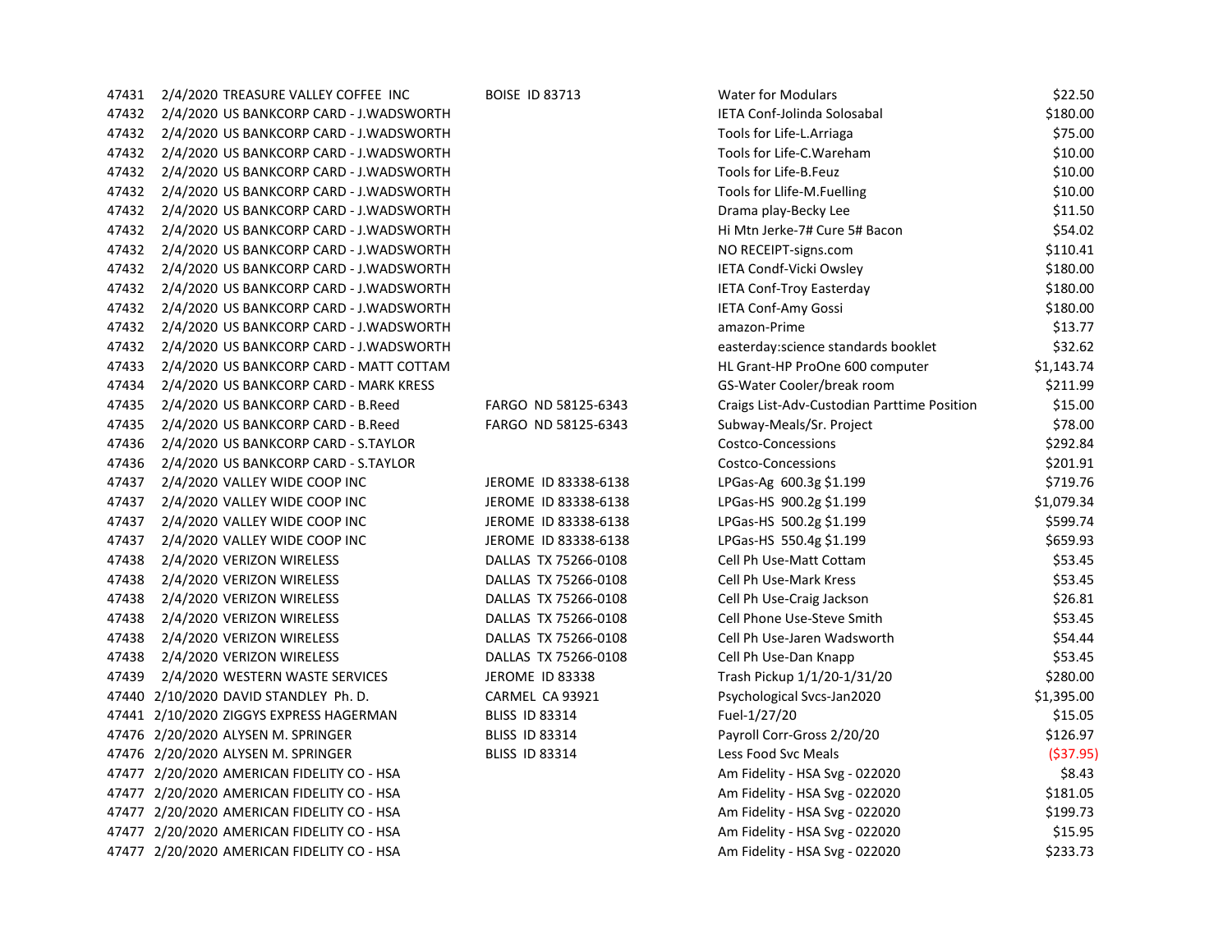| 47431 | 2/4/2020 TREASURE VALLEY COFFEE INC        | <b>BOISE ID 83713</b> | <b>Water for Modulars</b>                   | \$22.50    |
|-------|--------------------------------------------|-----------------------|---------------------------------------------|------------|
| 47432 | 2/4/2020 US BANKCORP CARD - J.WADSWORTH    |                       | IETA Conf-Jolinda Solosabal                 | \$180.00   |
| 47432 | 2/4/2020 US BANKCORP CARD - J.WADSWORTH    |                       | Tools for Life-L.Arriaga                    | \$75.00    |
| 47432 | 2/4/2020 US BANKCORP CARD - J.WADSWORTH    |                       | Tools for Life-C. Wareham                   | \$10.00    |
| 47432 | 2/4/2020 US BANKCORP CARD - J.WADSWORTH    |                       | Tools for Life-B.Feuz                       | \$10.00    |
| 47432 | 2/4/2020 US BANKCORP CARD - J.WADSWORTH    |                       | Tools for Llife-M.Fuelling                  | \$10.00    |
| 47432 | 2/4/2020 US BANKCORP CARD - J.WADSWORTH    |                       | Drama play-Becky Lee                        | \$11.50    |
| 47432 | 2/4/2020 US BANKCORP CARD - J.WADSWORTH    |                       | Hi Mtn Jerke-7# Cure 5# Bacon               | \$54.02    |
| 47432 | 2/4/2020 US BANKCORP CARD - J.WADSWORTH    |                       | NO RECEIPT-signs.com                        | \$110.41   |
| 47432 | 2/4/2020 US BANKCORP CARD - J.WADSWORTH    |                       | <b>IETA Condf-Vicki Owsley</b>              | \$180.00   |
| 47432 | 2/4/2020 US BANKCORP CARD - J.WADSWORTH    |                       | <b>IETA Conf-Troy Easterday</b>             | \$180.00   |
| 47432 | 2/4/2020 US BANKCORP CARD - J.WADSWORTH    |                       | <b>IETA Conf-Amy Gossi</b>                  | \$180.00   |
| 47432 | 2/4/2020 US BANKCORP CARD - J.WADSWORTH    |                       | amazon-Prime                                | \$13.77    |
| 47432 | 2/4/2020 US BANKCORP CARD - J.WADSWORTH    |                       | easterday: science standards booklet        | \$32.62    |
| 47433 | 2/4/2020 US BANKCORP CARD - MATT COTTAM    |                       | HL Grant-HP ProOne 600 computer             | \$1,143.74 |
| 47434 | 2/4/2020 US BANKCORP CARD - MARK KRESS     |                       | GS-Water Cooler/break room                  | \$211.99   |
| 47435 | 2/4/2020 US BANKCORP CARD - B.Reed         | FARGO ND 58125-6343   | Craigs List-Adv-Custodian Parttime Position | \$15.00    |
| 47435 | 2/4/2020 US BANKCORP CARD - B.Reed         | FARGO ND 58125-6343   | Subway-Meals/Sr. Project                    | \$78.00    |
| 47436 | 2/4/2020 US BANKCORP CARD - S.TAYLOR       |                       | Costco-Concessions                          | \$292.84   |
| 47436 | 2/4/2020 US BANKCORP CARD - S.TAYLOR       |                       | <b>Costco-Concessions</b>                   | \$201.91   |
| 47437 | 2/4/2020 VALLEY WIDE COOP INC              | JEROME ID 83338-6138  | LPGas-Ag 600.3g \$1.199                     | \$719.76   |
| 47437 | 2/4/2020 VALLEY WIDE COOP INC              | JEROME ID 83338-6138  | LPGas-HS 900.2g \$1.199                     | \$1,079.34 |
| 47437 | 2/4/2020 VALLEY WIDE COOP INC              | JEROME ID 83338-6138  | LPGas-HS 500.2g \$1.199                     | \$599.74   |
| 47437 | 2/4/2020 VALLEY WIDE COOP INC              | JEROME ID 83338-6138  | LPGas-HS 550.4g \$1.199                     | \$659.93   |
| 47438 | 2/4/2020 VERIZON WIRELESS                  | DALLAS TX 75266-0108  | Cell Ph Use-Matt Cottam                     | \$53.45    |
| 47438 | 2/4/2020 VERIZON WIRELESS                  | DALLAS TX 75266-0108  | Cell Ph Use-Mark Kress                      | \$53.45    |
| 47438 | 2/4/2020 VERIZON WIRELESS                  | DALLAS TX 75266-0108  | Cell Ph Use-Craig Jackson                   | \$26.81    |
| 47438 | 2/4/2020 VERIZON WIRELESS                  | DALLAS TX 75266-0108  | Cell Phone Use-Steve Smith                  | \$53.45    |
| 47438 | 2/4/2020 VERIZON WIRELESS                  | DALLAS TX 75266-0108  | Cell Ph Use-Jaren Wadsworth                 | \$54.44    |
| 47438 | 2/4/2020 VERIZON WIRELESS                  | DALLAS TX 75266-0108  | Cell Ph Use-Dan Knapp                       | \$53.45    |
| 47439 | 2/4/2020 WESTERN WASTE SERVICES            | JEROME ID 83338       | Trash Pickup 1/1/20-1/31/20                 | \$280.00   |
|       | 47440 2/10/2020 DAVID STANDLEY Ph. D.      | CARMEL CA 93921       | Psychological Svcs-Jan2020                  | \$1,395.00 |
|       | 47441 2/10/2020 ZIGGYS EXPRESS HAGERMAN    | <b>BLISS ID 83314</b> | Fuel-1/27/20                                | \$15.05    |
|       | 47476 2/20/2020 ALYSEN M. SPRINGER         | <b>BLISS ID 83314</b> | Payroll Corr-Gross 2/20/20                  | \$126.97   |
|       | 47476 2/20/2020 ALYSEN M. SPRINGER         | <b>BLISS ID 83314</b> | Less Food Svc Meals                         | ( \$37.95) |
|       | 47477 2/20/2020 AMERICAN FIDELITY CO - HSA |                       | Am Fidelity - HSA Svg - 022020              | \$8.43     |
|       | 47477 2/20/2020 AMERICAN FIDELITY CO - HSA |                       | Am Fidelity - HSA Svg - 022020              | \$181.05   |
|       | 47477 2/20/2020 AMERICAN FIDELITY CO - HSA |                       | Am Fidelity - HSA Svg - 022020              | \$199.73   |
|       | 47477 2/20/2020 AMERICAN FIDELITY CO - HSA |                       | Am Fidelity - HSA Svg - 022020              | \$15.95    |
|       | 47477 2/20/2020 AMERICAN FIDELITY CO - HSA |                       | Am Fidelity - HSA Svg - 022020              | \$233.73   |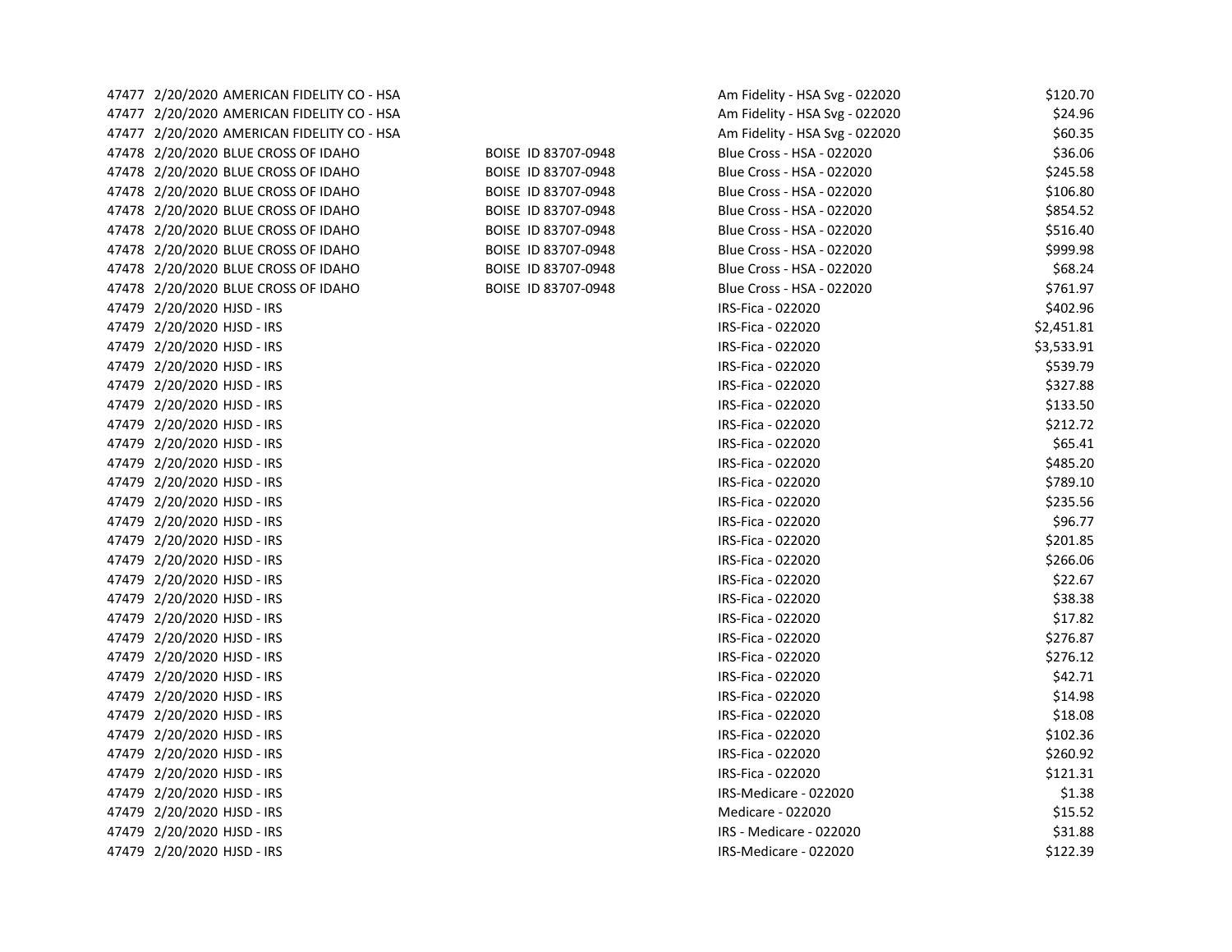| 47477 2/20/2020 AMERICAN FIDELITY CO - HSA |                     | Am Fidelity - HSA Svg - 022020 | \$120.70   |
|--------------------------------------------|---------------------|--------------------------------|------------|
| 47477 2/20/2020 AMERICAN FIDELITY CO - HSA |                     | Am Fidelity - HSA Svg - 022020 | \$24.96    |
| 47477 2/20/2020 AMERICAN FIDELITY CO - HSA |                     | Am Fidelity - HSA Svg - 022020 | \$60.35    |
| 47478 2/20/2020 BLUE CROSS OF IDAHO        | BOISE ID 83707-0948 | Blue Cross - HSA - 022020      | \$36.06    |
| 47478 2/20/2020 BLUE CROSS OF IDAHO        | BOISE ID 83707-0948 | Blue Cross - HSA - 022020      | \$245.58   |
| 47478 2/20/2020 BLUE CROSS OF IDAHO        | BOISE ID 83707-0948 | Blue Cross - HSA - 022020      | \$106.80   |
| 47478 2/20/2020 BLUE CROSS OF IDAHO        | BOISE ID 83707-0948 | Blue Cross - HSA - 022020      | \$854.52   |
| 47478 2/20/2020 BLUE CROSS OF IDAHO        | BOISE ID 83707-0948 | Blue Cross - HSA - 022020      | \$516.40   |
| 47478 2/20/2020 BLUE CROSS OF IDAHO        | BOISE ID 83707-0948 | Blue Cross - HSA - 022020      | \$999.98   |
| 47478 2/20/2020 BLUE CROSS OF IDAHO        | BOISE ID 83707-0948 | Blue Cross - HSA - 022020      | \$68.24    |
| 47478 2/20/2020 BLUE CROSS OF IDAHO        | BOISE ID 83707-0948 | Blue Cross - HSA - 022020      | \$761.97   |
| 47479 2/20/2020 HJSD - IRS                 |                     | IRS-Fica - 022020              | \$402.96   |
| 47479 2/20/2020 HJSD - IRS                 |                     | IRS-Fica - 022020              | \$2,451.81 |
| 47479 2/20/2020 HJSD - IRS                 |                     | IRS-Fica - 022020              | \$3,533.91 |
| 47479 2/20/2020 HJSD - IRS                 |                     | IRS-Fica - 022020              | \$539.79   |
| 47479 2/20/2020 HJSD - IRS                 |                     | IRS-Fica - 022020              | \$327.88   |
| 47479 2/20/2020 HJSD - IRS                 |                     | IRS-Fica - 022020              | \$133.50   |
| 47479 2/20/2020 HJSD - IRS                 |                     | IRS-Fica - 022020              | \$212.72   |
| 47479 2/20/2020 HJSD - IRS                 |                     | IRS-Fica - 022020              | \$65.41    |
| 47479 2/20/2020 HJSD - IRS                 |                     | IRS-Fica - 022020              | \$485.20   |
| 47479 2/20/2020 HJSD - IRS                 |                     | IRS-Fica - 022020              | \$789.10   |
| 47479 2/20/2020 HJSD - IRS                 |                     | IRS-Fica - 022020              | \$235.56   |
| 47479 2/20/2020 HJSD - IRS                 |                     | IRS-Fica - 022020              | \$96.77    |
| 47479 2/20/2020 HJSD - IRS                 |                     | IRS-Fica - 022020              | \$201.85   |
| 47479 2/20/2020 HJSD - IRS                 |                     | IRS-Fica - 022020              | \$266.06   |
| 47479 2/20/2020 HJSD - IRS                 |                     | IRS-Fica - 022020              | \$22.67    |
| 47479 2/20/2020 HJSD - IRS                 |                     | IRS-Fica - 022020              | \$38.38    |
| 47479 2/20/2020 HJSD - IRS                 |                     | IRS-Fica - 022020              | \$17.82    |
| 47479 2/20/2020 HJSD - IRS                 |                     | IRS-Fica - 022020              | \$276.87   |
| 47479 2/20/2020 HJSD - IRS                 |                     | IRS-Fica - 022020              | \$276.12   |
| 47479 2/20/2020 HJSD - IRS                 |                     | IRS-Fica - 022020              | \$42.71    |
| 47479 2/20/2020 HJSD - IRS                 |                     | IRS-Fica - 022020              | \$14.98    |
| 47479 2/20/2020 HJSD - IRS                 |                     | IRS-Fica - 022020              | \$18.08    |
| 47479 2/20/2020 HJSD - IRS                 |                     | IRS-Fica - 022020              | \$102.36   |
| 47479 2/20/2020 HJSD - IRS                 |                     | IRS-Fica - 022020              | \$260.92   |
| 47479 2/20/2020 HJSD - IRS                 |                     | IRS-Fica - 022020              | \$121.31   |
| 47479 2/20/2020 HJSD - IRS                 |                     | IRS-Medicare - 022020          | \$1.38     |
| 47479 2/20/2020 HJSD - IRS                 |                     | Medicare - 022020              | \$15.52    |
| 47479 2/20/2020 HJSD - IRS                 |                     | IRS - Medicare - 022020        | \$31.88    |
| 47479 2/20/2020 HJSD - IRS                 |                     | IRS-Medicare - 022020          | \$122.39   |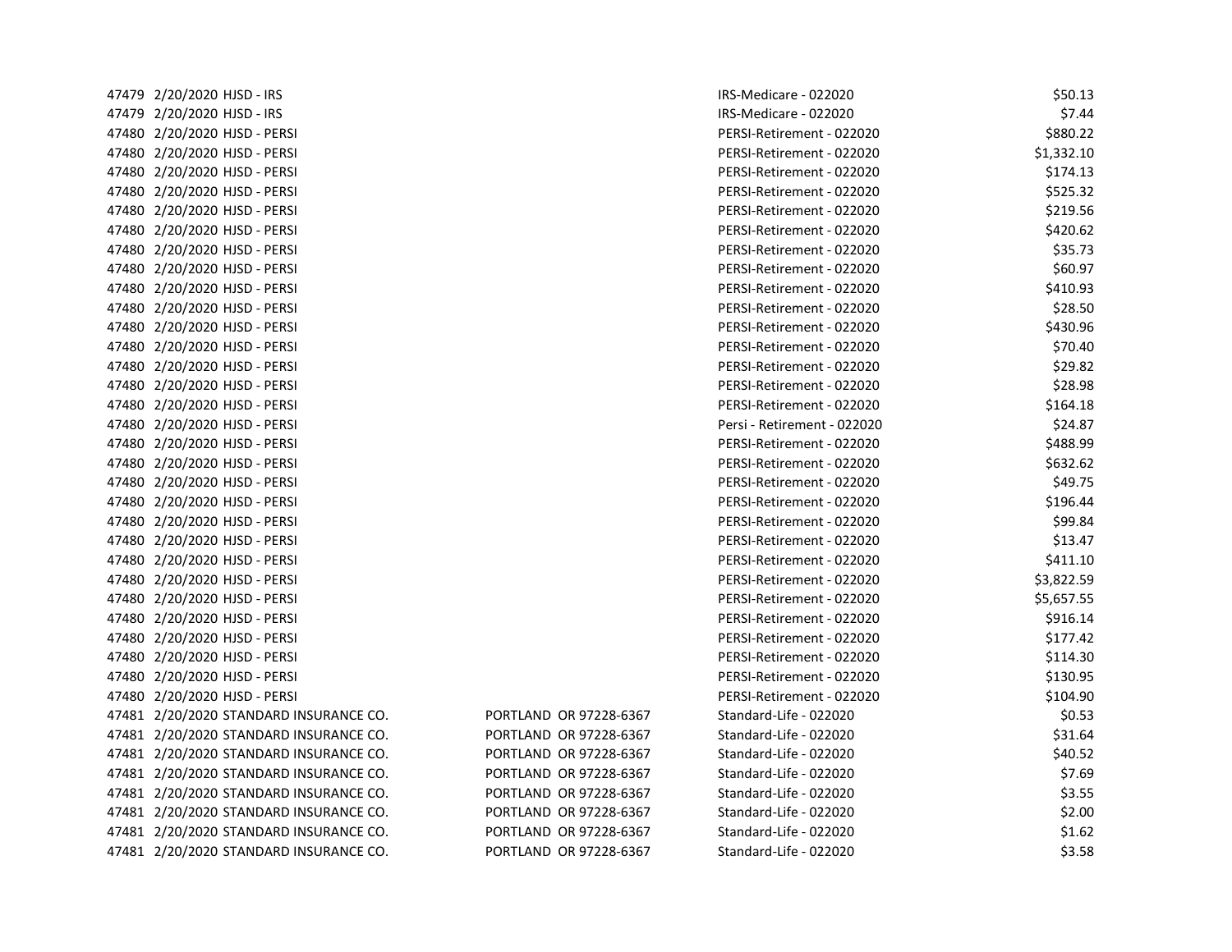| 47479 2/20/2020 HJSD - IRS             |                        | IRS-Medicare - 022020       | \$50.13    |
|----------------------------------------|------------------------|-----------------------------|------------|
| 47479 2/20/2020 HJSD - IRS             |                        | IRS-Medicare - 022020       | \$7.44     |
| 47480 2/20/2020 HJSD - PERSI           |                        | PERSI-Retirement - 022020   | \$880.22   |
| 47480 2/20/2020 HJSD - PERSI           |                        | PERSI-Retirement - 022020   | \$1,332.10 |
| 47480 2/20/2020 HJSD - PERSI           |                        | PERSI-Retirement - 022020   | \$174.13   |
| 47480 2/20/2020 HJSD - PERSI           |                        | PERSI-Retirement - 022020   | \$525.32   |
| 47480 2/20/2020 HJSD - PERSI           |                        | PERSI-Retirement - 022020   | \$219.56   |
| 47480 2/20/2020 HJSD - PERSI           |                        | PERSI-Retirement - 022020   | \$420.62   |
| 47480 2/20/2020 HJSD - PERSI           |                        | PERSI-Retirement - 022020   | \$35.73    |
| 47480 2/20/2020 HJSD - PERSI           |                        | PERSI-Retirement - 022020   | \$60.97    |
| 47480 2/20/2020 HJSD - PERSI           |                        | PERSI-Retirement - 022020   | \$410.93   |
| 47480 2/20/2020 HJSD - PERSI           |                        | PERSI-Retirement - 022020   | \$28.50    |
| 47480 2/20/2020 HJSD - PERSI           |                        | PERSI-Retirement - 022020   | \$430.96   |
| 47480 2/20/2020 HJSD - PERSI           |                        | PERSI-Retirement - 022020   | \$70.40    |
| 47480 2/20/2020 HJSD - PERSI           |                        | PERSI-Retirement - 022020   | \$29.82    |
| 47480 2/20/2020 HJSD - PERSI           |                        | PERSI-Retirement - 022020   | \$28.98    |
| 47480 2/20/2020 HJSD - PERSI           |                        | PERSI-Retirement - 022020   | \$164.18   |
| 47480 2/20/2020 HJSD - PERSI           |                        | Persi - Retirement - 022020 | \$24.87    |
| 47480 2/20/2020 HJSD - PERSI           |                        | PERSI-Retirement - 022020   | \$488.99   |
| 47480 2/20/2020 HJSD - PERSI           |                        | PERSI-Retirement - 022020   | \$632.62   |
| 47480 2/20/2020 HJSD - PERSI           |                        | PERSI-Retirement - 022020   | \$49.75    |
| 47480 2/20/2020 HJSD - PERSI           |                        | PERSI-Retirement - 022020   | \$196.44   |
| 47480 2/20/2020 HJSD - PERSI           |                        | PERSI-Retirement - 022020   | \$99.84    |
| 47480 2/20/2020 HJSD - PERSI           |                        | PERSI-Retirement - 022020   | \$13.47    |
| 47480 2/20/2020 HJSD - PERSI           |                        | PERSI-Retirement - 022020   | \$411.10   |
| 47480 2/20/2020 HJSD - PERSI           |                        | PERSI-Retirement - 022020   | \$3,822.59 |
| 47480 2/20/2020 HJSD - PERSI           |                        | PERSI-Retirement - 022020   | \$5,657.55 |
| 47480 2/20/2020 HJSD - PERSI           |                        | PERSI-Retirement - 022020   | \$916.14   |
| 47480 2/20/2020 HJSD - PERSI           |                        | PERSI-Retirement - 022020   | \$177.42   |
| 47480 2/20/2020 HJSD - PERSI           |                        | PERSI-Retirement - 022020   | \$114.30   |
| 47480 2/20/2020 HJSD - PERSI           |                        | PERSI-Retirement - 022020   | \$130.95   |
| 47480 2/20/2020 HJSD - PERSI           |                        | PERSI-Retirement - 022020   | \$104.90   |
| 47481 2/20/2020 STANDARD INSURANCE CO. | PORTLAND OR 97228-6367 | Standard-Life - 022020      | \$0.53     |
| 47481 2/20/2020 STANDARD INSURANCE CO. | PORTLAND OR 97228-6367 | Standard-Life - 022020      | \$31.64    |
| 47481 2/20/2020 STANDARD INSURANCE CO. | PORTLAND OR 97228-6367 | Standard-Life - 022020      | \$40.52    |
| 47481 2/20/2020 STANDARD INSURANCE CO. | PORTLAND OR 97228-6367 | Standard-Life - 022020      | \$7.69     |
| 47481 2/20/2020 STANDARD INSURANCE CO. | PORTLAND OR 97228-6367 | Standard-Life - 022020      | \$3.55     |
| 47481 2/20/2020 STANDARD INSURANCE CO. | PORTLAND OR 97228-6367 | Standard-Life - 022020      | \$2.00     |
| 47481 2/20/2020 STANDARD INSURANCE CO. | PORTLAND OR 97228-6367 | Standard-Life - 022020      | \$1.62     |
| 47481 2/20/2020 STANDARD INSURANCE CO. | PORTLAND OR 97228-6367 | Standard-Life - 022020      | \$3.58     |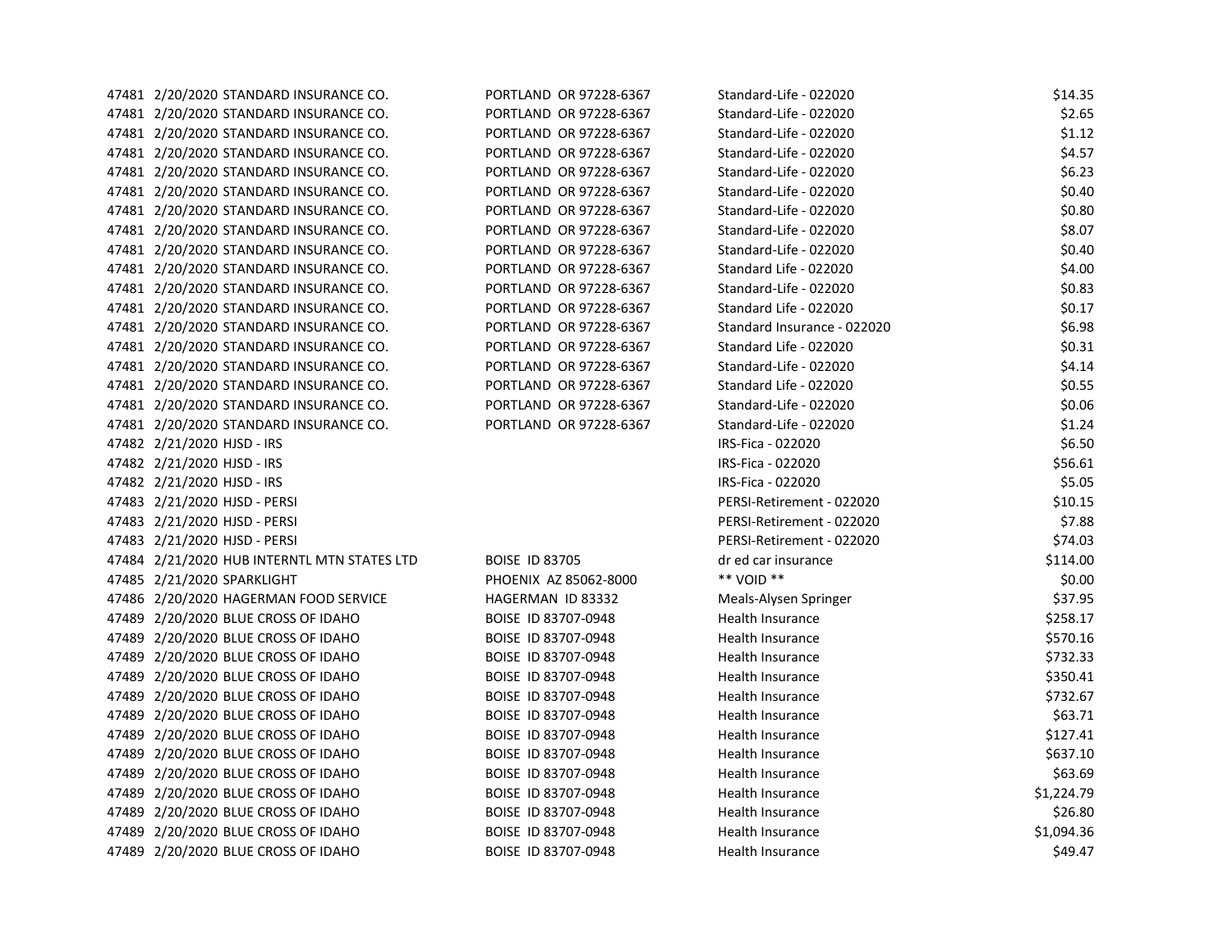| 47481 2/20/2020 STANDARD INSURANCE CO.      | PORTLAND OR 97228-6367 | Standard-Life - 022020      | \$14.35    |
|---------------------------------------------|------------------------|-----------------------------|------------|
| 47481 2/20/2020 STANDARD INSURANCE CO.      | PORTLAND OR 97228-6367 | Standard-Life - 022020      | \$2.65     |
| 47481 2/20/2020 STANDARD INSURANCE CO.      | PORTLAND OR 97228-6367 | Standard-Life - 022020      | \$1.12     |
| 47481 2/20/2020 STANDARD INSURANCE CO.      | PORTLAND OR 97228-6367 | Standard-Life - 022020      | \$4.57     |
| 47481 2/20/2020 STANDARD INSURANCE CO.      | PORTLAND OR 97228-6367 | Standard-Life - 022020      | \$6.23     |
| 47481 2/20/2020 STANDARD INSURANCE CO.      | PORTLAND OR 97228-6367 | Standard-Life - 022020      | \$0.40     |
| 47481 2/20/2020 STANDARD INSURANCE CO.      | PORTLAND OR 97228-6367 | Standard-Life - 022020      | \$0.80     |
| 47481 2/20/2020 STANDARD INSURANCE CO.      | PORTLAND OR 97228-6367 | Standard-Life - 022020      | \$8.07     |
| 47481 2/20/2020 STANDARD INSURANCE CO.      | PORTLAND OR 97228-6367 | Standard-Life - 022020      | \$0.40     |
| 47481 2/20/2020 STANDARD INSURANCE CO.      | PORTLAND OR 97228-6367 | Standard Life - 022020      | \$4.00     |
| 47481 2/20/2020 STANDARD INSURANCE CO.      | PORTLAND OR 97228-6367 | Standard-Life - 022020      | \$0.83     |
| 47481 2/20/2020 STANDARD INSURANCE CO.      | PORTLAND OR 97228-6367 | Standard Life - 022020      | \$0.17     |
| 47481 2/20/2020 STANDARD INSURANCE CO.      | PORTLAND OR 97228-6367 | Standard Insurance - 022020 | \$6.98     |
| 47481 2/20/2020 STANDARD INSURANCE CO.      | PORTLAND OR 97228-6367 | Standard Life - 022020      | \$0.31     |
| 47481 2/20/2020 STANDARD INSURANCE CO.      | PORTLAND OR 97228-6367 | Standard-Life - 022020      | \$4.14     |
| 47481 2/20/2020 STANDARD INSURANCE CO.      | PORTLAND OR 97228-6367 | Standard Life - 022020      | \$0.55     |
| 47481 2/20/2020 STANDARD INSURANCE CO.      | PORTLAND OR 97228-6367 | Standard-Life - 022020      | \$0.06     |
| 47481 2/20/2020 STANDARD INSURANCE CO.      | PORTLAND OR 97228-6367 | Standard-Life - 022020      | \$1.24     |
| 47482 2/21/2020 HJSD - IRS                  |                        | IRS-Fica - 022020           | \$6.50     |
| 47482 2/21/2020 HJSD - IRS                  |                        | IRS-Fica - 022020           | \$56.61    |
| 47482 2/21/2020 HJSD - IRS                  |                        | IRS-Fica - 022020           | \$5.05     |
| 47483 2/21/2020 HJSD - PERSI                |                        | PERSI-Retirement - 022020   | \$10.15    |
| 47483 2/21/2020 HJSD - PERSI                |                        | PERSI-Retirement - 022020   | \$7.88     |
| 47483 2/21/2020 HJSD - PERSI                |                        | PERSI-Retirement - 022020   | \$74.03    |
| 47484 2/21/2020 HUB INTERNTL MTN STATES LTD | <b>BOISE ID 83705</b>  | dr ed car insurance         | \$114.00   |
| 47485 2/21/2020 SPARKLIGHT                  | PHOENIX AZ 85062-8000  | ** VOID **                  | \$0.00     |
| 47486 2/20/2020 HAGERMAN FOOD SERVICE       | HAGERMAN ID 83332      | Meals-Alysen Springer       | \$37.95    |
| 47489 2/20/2020 BLUE CROSS OF IDAHO         | BOISE ID 83707-0948    | Health Insurance            | \$258.17   |
| 47489 2/20/2020 BLUE CROSS OF IDAHO         | BOISE ID 83707-0948    | Health Insurance            | \$570.16   |
| 47489 2/20/2020 BLUE CROSS OF IDAHO         | BOISE ID 83707-0948    | Health Insurance            | \$732.33   |
| 47489 2/20/2020 BLUE CROSS OF IDAHO         | BOISE ID 83707-0948    | Health Insurance            | \$350.41   |
| 47489 2/20/2020 BLUE CROSS OF IDAHO         | BOISE ID 83707-0948    | <b>Health Insurance</b>     | \$732.67   |
| 47489 2/20/2020 BLUE CROSS OF IDAHO         | BOISE ID 83707-0948    | Health Insurance            | \$63.71    |
| 47489 2/20/2020 BLUE CROSS OF IDAHO         | BOISE ID 83707-0948    | Health Insurance            | \$127.41   |
| 47489 2/20/2020 BLUE CROSS OF IDAHO         | BOISE ID 83707-0948    | <b>Health Insurance</b>     | \$637.10   |
| 47489 2/20/2020 BLUE CROSS OF IDAHO         | BOISE ID 83707-0948    | Health Insurance            | \$63.69    |
| 47489 2/20/2020 BLUE CROSS OF IDAHO         | BOISE ID 83707-0948    | Health Insurance            | \$1,224.79 |
| 47489 2/20/2020 BLUE CROSS OF IDAHO         | BOISE ID 83707-0948    | Health Insurance            | \$26.80    |
| 47489 2/20/2020 BLUE CROSS OF IDAHO         | BOISE ID 83707-0948    | <b>Health Insurance</b>     | \$1,094.36 |
| 47489 2/20/2020 BLUE CROSS OF IDAHO         | BOISE ID 83707-0948    | Health Insurance            | \$49.47    |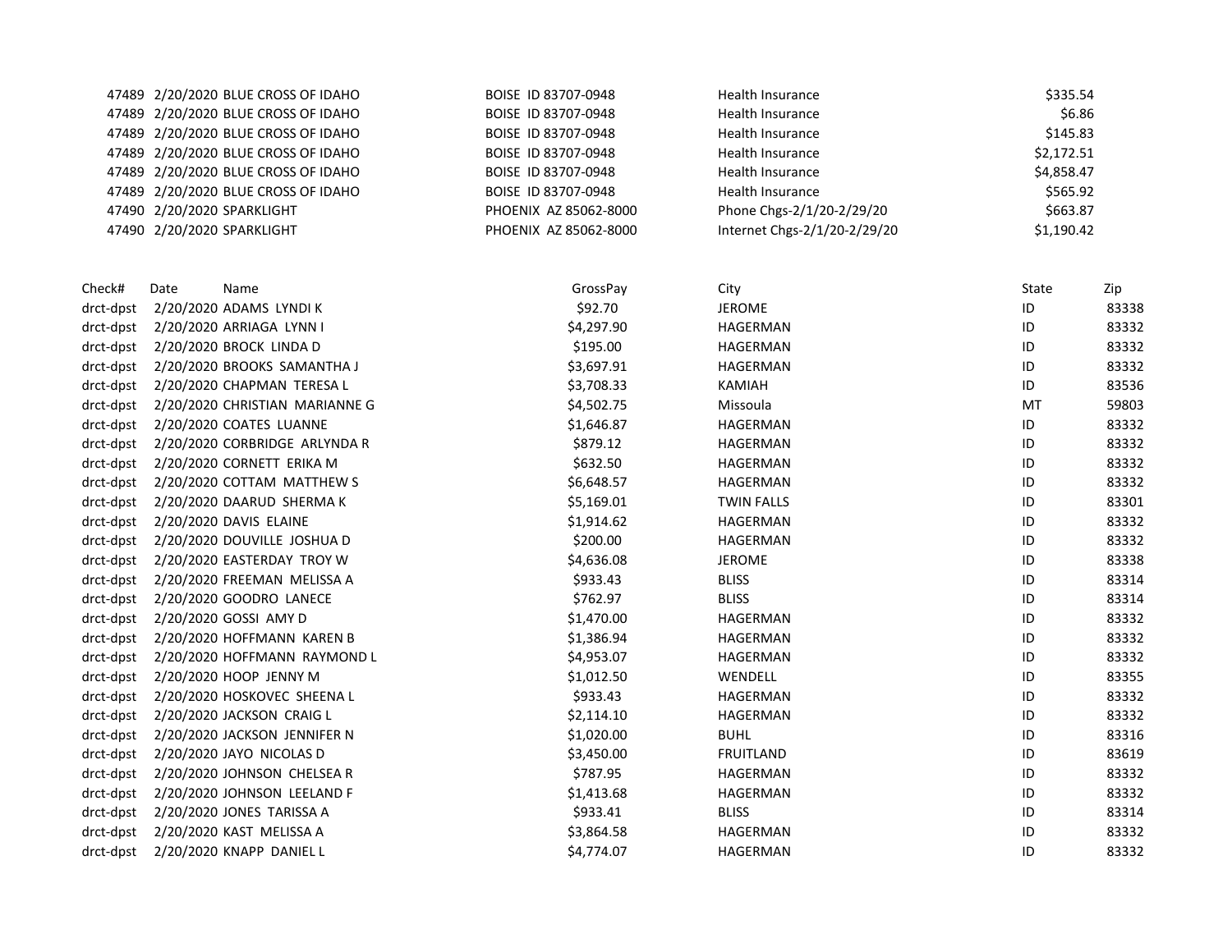|      |      | BOISE ID 83707-0948                                                                                                                                                                                                                                                                                                                                                                                                                                                                                                                                                                                                                                                                                                                                                                                                                                                                                                                                                                                                                                                                                                                                                                            | <b>Health Insurance</b>      |          |                                                                                        |
|------|------|------------------------------------------------------------------------------------------------------------------------------------------------------------------------------------------------------------------------------------------------------------------------------------------------------------------------------------------------------------------------------------------------------------------------------------------------------------------------------------------------------------------------------------------------------------------------------------------------------------------------------------------------------------------------------------------------------------------------------------------------------------------------------------------------------------------------------------------------------------------------------------------------------------------------------------------------------------------------------------------------------------------------------------------------------------------------------------------------------------------------------------------------------------------------------------------------|------------------------------|----------|----------------------------------------------------------------------------------------|
|      |      | BOISE ID 83707-0948                                                                                                                                                                                                                                                                                                                                                                                                                                                                                                                                                                                                                                                                                                                                                                                                                                                                                                                                                                                                                                                                                                                                                                            | Health Insurance             | \$6.86   |                                                                                        |
|      |      | BOISE ID 83707-0948                                                                                                                                                                                                                                                                                                                                                                                                                                                                                                                                                                                                                                                                                                                                                                                                                                                                                                                                                                                                                                                                                                                                                                            | Health Insurance             |          |                                                                                        |
|      |      | BOISE ID 83707-0948                                                                                                                                                                                                                                                                                                                                                                                                                                                                                                                                                                                                                                                                                                                                                                                                                                                                                                                                                                                                                                                                                                                                                                            | Health Insurance             |          |                                                                                        |
|      |      | BOISE ID 83707-0948                                                                                                                                                                                                                                                                                                                                                                                                                                                                                                                                                                                                                                                                                                                                                                                                                                                                                                                                                                                                                                                                                                                                                                            | Health Insurance             |          |                                                                                        |
|      |      | BOISE ID 83707-0948                                                                                                                                                                                                                                                                                                                                                                                                                                                                                                                                                                                                                                                                                                                                                                                                                                                                                                                                                                                                                                                                                                                                                                            | Health Insurance             |          |                                                                                        |
|      |      | PHOENIX AZ 85062-8000                                                                                                                                                                                                                                                                                                                                                                                                                                                                                                                                                                                                                                                                                                                                                                                                                                                                                                                                                                                                                                                                                                                                                                          | Phone Chgs-2/1/20-2/29/20    |          |                                                                                        |
|      |      | PHOENIX AZ 85062-8000                                                                                                                                                                                                                                                                                                                                                                                                                                                                                                                                                                                                                                                                                                                                                                                                                                                                                                                                                                                                                                                                                                                                                                          | Internet Chgs-2/1/20-2/29/20 |          |                                                                                        |
| Date | Name | GrossPay                                                                                                                                                                                                                                                                                                                                                                                                                                                                                                                                                                                                                                                                                                                                                                                                                                                                                                                                                                                                                                                                                                                                                                                       | City                         | State    | Zip                                                                                    |
|      |      | \$92.70                                                                                                                                                                                                                                                                                                                                                                                                                                                                                                                                                                                                                                                                                                                                                                                                                                                                                                                                                                                                                                                                                                                                                                                        | <b>JEROME</b>                | $\sf ID$ | 83338                                                                                  |
|      |      | \$4,297.90                                                                                                                                                                                                                                                                                                                                                                                                                                                                                                                                                                                                                                                                                                                                                                                                                                                                                                                                                                                                                                                                                                                                                                                     | HAGERMAN                     | ID       | 83332                                                                                  |
|      |      | \$195.00                                                                                                                                                                                                                                                                                                                                                                                                                                                                                                                                                                                                                                                                                                                                                                                                                                                                                                                                                                                                                                                                                                                                                                                       | HAGERMAN                     | ID       | 83332                                                                                  |
|      |      | \$3,697.91                                                                                                                                                                                                                                                                                                                                                                                                                                                                                                                                                                                                                                                                                                                                                                                                                                                                                                                                                                                                                                                                                                                                                                                     | HAGERMAN                     | $\sf ID$ | 83332                                                                                  |
|      |      | \$3,708.33                                                                                                                                                                                                                                                                                                                                                                                                                                                                                                                                                                                                                                                                                                                                                                                                                                                                                                                                                                                                                                                                                                                                                                                     | <b>KAMIAH</b>                | ID       | 83536                                                                                  |
|      |      | \$4,502.75                                                                                                                                                                                                                                                                                                                                                                                                                                                                                                                                                                                                                                                                                                                                                                                                                                                                                                                                                                                                                                                                                                                                                                                     | Missoula                     | MT       | 59803                                                                                  |
|      |      | \$1,646.87                                                                                                                                                                                                                                                                                                                                                                                                                                                                                                                                                                                                                                                                                                                                                                                                                                                                                                                                                                                                                                                                                                                                                                                     | HAGERMAN                     | ID       | 83332                                                                                  |
|      |      | \$879.12                                                                                                                                                                                                                                                                                                                                                                                                                                                                                                                                                                                                                                                                                                                                                                                                                                                                                                                                                                                                                                                                                                                                                                                       | HAGERMAN                     | ID       | 83332                                                                                  |
|      |      | \$632.50                                                                                                                                                                                                                                                                                                                                                                                                                                                                                                                                                                                                                                                                                                                                                                                                                                                                                                                                                                                                                                                                                                                                                                                       | HAGERMAN                     | ID       | 83332                                                                                  |
|      |      | \$6,648.57                                                                                                                                                                                                                                                                                                                                                                                                                                                                                                                                                                                                                                                                                                                                                                                                                                                                                                                                                                                                                                                                                                                                                                                     | HAGERMAN                     | ID       | 83332                                                                                  |
|      |      | \$5,169.01                                                                                                                                                                                                                                                                                                                                                                                                                                                                                                                                                                                                                                                                                                                                                                                                                                                                                                                                                                                                                                                                                                                                                                                     | <b>TWIN FALLS</b>            | ID       | 83301                                                                                  |
|      |      | \$1,914.62                                                                                                                                                                                                                                                                                                                                                                                                                                                                                                                                                                                                                                                                                                                                                                                                                                                                                                                                                                                                                                                                                                                                                                                     | HAGERMAN                     | ID       | 83332                                                                                  |
|      |      | \$200.00                                                                                                                                                                                                                                                                                                                                                                                                                                                                                                                                                                                                                                                                                                                                                                                                                                                                                                                                                                                                                                                                                                                                                                                       | HAGERMAN                     | ID       | 83332                                                                                  |
|      |      | \$4,636.08                                                                                                                                                                                                                                                                                                                                                                                                                                                                                                                                                                                                                                                                                                                                                                                                                                                                                                                                                                                                                                                                                                                                                                                     | <b>JEROME</b>                | ID       | 83338                                                                                  |
|      |      | \$933.43                                                                                                                                                                                                                                                                                                                                                                                                                                                                                                                                                                                                                                                                                                                                                                                                                                                                                                                                                                                                                                                                                                                                                                                       | <b>BLISS</b>                 | ID       | 83314                                                                                  |
|      |      | \$762.97                                                                                                                                                                                                                                                                                                                                                                                                                                                                                                                                                                                                                                                                                                                                                                                                                                                                                                                                                                                                                                                                                                                                                                                       | <b>BLISS</b>                 | ID       | 83314                                                                                  |
|      |      | \$1,470.00                                                                                                                                                                                                                                                                                                                                                                                                                                                                                                                                                                                                                                                                                                                                                                                                                                                                                                                                                                                                                                                                                                                                                                                     | HAGERMAN                     | ID       | 83332                                                                                  |
|      |      | \$1,386.94                                                                                                                                                                                                                                                                                                                                                                                                                                                                                                                                                                                                                                                                                                                                                                                                                                                                                                                                                                                                                                                                                                                                                                                     | HAGERMAN                     | ID       | 83332                                                                                  |
|      |      | \$4,953.07                                                                                                                                                                                                                                                                                                                                                                                                                                                                                                                                                                                                                                                                                                                                                                                                                                                                                                                                                                                                                                                                                                                                                                                     | HAGERMAN                     | ID       | 83332                                                                                  |
|      |      | \$1,012.50                                                                                                                                                                                                                                                                                                                                                                                                                                                                                                                                                                                                                                                                                                                                                                                                                                                                                                                                                                                                                                                                                                                                                                                     | WENDELL                      | $\sf ID$ | 83355                                                                                  |
|      |      | \$933.43                                                                                                                                                                                                                                                                                                                                                                                                                                                                                                                                                                                                                                                                                                                                                                                                                                                                                                                                                                                                                                                                                                                                                                                       | HAGERMAN                     | ID       | 83332                                                                                  |
|      |      | \$2,114.10                                                                                                                                                                                                                                                                                                                                                                                                                                                                                                                                                                                                                                                                                                                                                                                                                                                                                                                                                                                                                                                                                                                                                                                     | HAGERMAN                     | ID       | 83332                                                                                  |
|      |      | \$1,020.00                                                                                                                                                                                                                                                                                                                                                                                                                                                                                                                                                                                                                                                                                                                                                                                                                                                                                                                                                                                                                                                                                                                                                                                     | <b>BUHL</b>                  | ID       | 83316                                                                                  |
|      |      | \$3,450.00                                                                                                                                                                                                                                                                                                                                                                                                                                                                                                                                                                                                                                                                                                                                                                                                                                                                                                                                                                                                                                                                                                                                                                                     | <b>FRUITLAND</b>             | ID       | 83619                                                                                  |
|      |      | \$787.95                                                                                                                                                                                                                                                                                                                                                                                                                                                                                                                                                                                                                                                                                                                                                                                                                                                                                                                                                                                                                                                                                                                                                                                       | HAGERMAN                     | ID       | 83332                                                                                  |
|      |      | \$1,413.68                                                                                                                                                                                                                                                                                                                                                                                                                                                                                                                                                                                                                                                                                                                                                                                                                                                                                                                                                                                                                                                                                                                                                                                     | HAGERMAN                     | ID       | 83332                                                                                  |
|      |      | \$933.41                                                                                                                                                                                                                                                                                                                                                                                                                                                                                                                                                                                                                                                                                                                                                                                                                                                                                                                                                                                                                                                                                                                                                                                       | <b>BLISS</b>                 | ID       | 83314                                                                                  |
|      |      | \$3,864.58                                                                                                                                                                                                                                                                                                                                                                                                                                                                                                                                                                                                                                                                                                                                                                                                                                                                                                                                                                                                                                                                                                                                                                                     | HAGERMAN                     | ID       | 83332                                                                                  |
|      |      | \$4,774.07                                                                                                                                                                                                                                                                                                                                                                                                                                                                                                                                                                                                                                                                                                                                                                                                                                                                                                                                                                                                                                                                                                                                                                                     | HAGERMAN                     | ID       | 83332                                                                                  |
|      |      | 47489 2/20/2020 BLUE CROSS OF IDAHO<br>47489 2/20/2020 BLUE CROSS OF IDAHO<br>47489 2/20/2020 BLUE CROSS OF IDAHO<br>47489 2/20/2020 BLUE CROSS OF IDAHO<br>47489 2/20/2020 BLUE CROSS OF IDAHO<br>47489 2/20/2020 BLUE CROSS OF IDAHO<br>47490 2/20/2020 SPARKLIGHT<br>47490 2/20/2020 SPARKLIGHT<br>2/20/2020 ADAMS LYNDI K<br>2/20/2020 ARRIAGA LYNN I<br>2/20/2020 BROCK LINDA D<br>2/20/2020 BROOKS SAMANTHA J<br>2/20/2020 CHAPMAN TERESA L<br>2/20/2020 CHRISTIAN MARIANNE G<br>2/20/2020 COATES LUANNE<br>2/20/2020 CORBRIDGE ARLYNDA R<br>2/20/2020 CORNETT ERIKA M<br>2/20/2020 COTTAM MATTHEW S<br>2/20/2020 DAARUD SHERMA K<br>2/20/2020 DAVIS ELAINE<br>2/20/2020 DOUVILLE JOSHUA D<br>2/20/2020 EASTERDAY TROY W<br>2/20/2020 FREEMAN MELISSA A<br>2/20/2020 GOODRO LANECE<br>2/20/2020 GOSSI AMY D<br>2/20/2020 HOFFMANN KAREN B<br>2/20/2020 HOFFMANN RAYMOND L<br>2/20/2020 HOOP JENNY M<br>2/20/2020 HOSKOVEC SHEENA L<br>2/20/2020 JACKSON CRAIG L<br>2/20/2020 JACKSON JENNIFER N<br>2/20/2020 JAYO NICOLAS D<br>2/20/2020 JOHNSON CHELSEA R<br>2/20/2020 JOHNSON LEELAND F<br>2/20/2020 JONES TARISSA A<br>2/20/2020 KAST MELISSA A<br>drct-dpst 2/20/2020 KNAPP DANIEL L |                              |          | \$335.54<br>\$145.83<br>\$2,172.51<br>\$4,858.47<br>\$565.92<br>\$663.87<br>\$1,190.42 |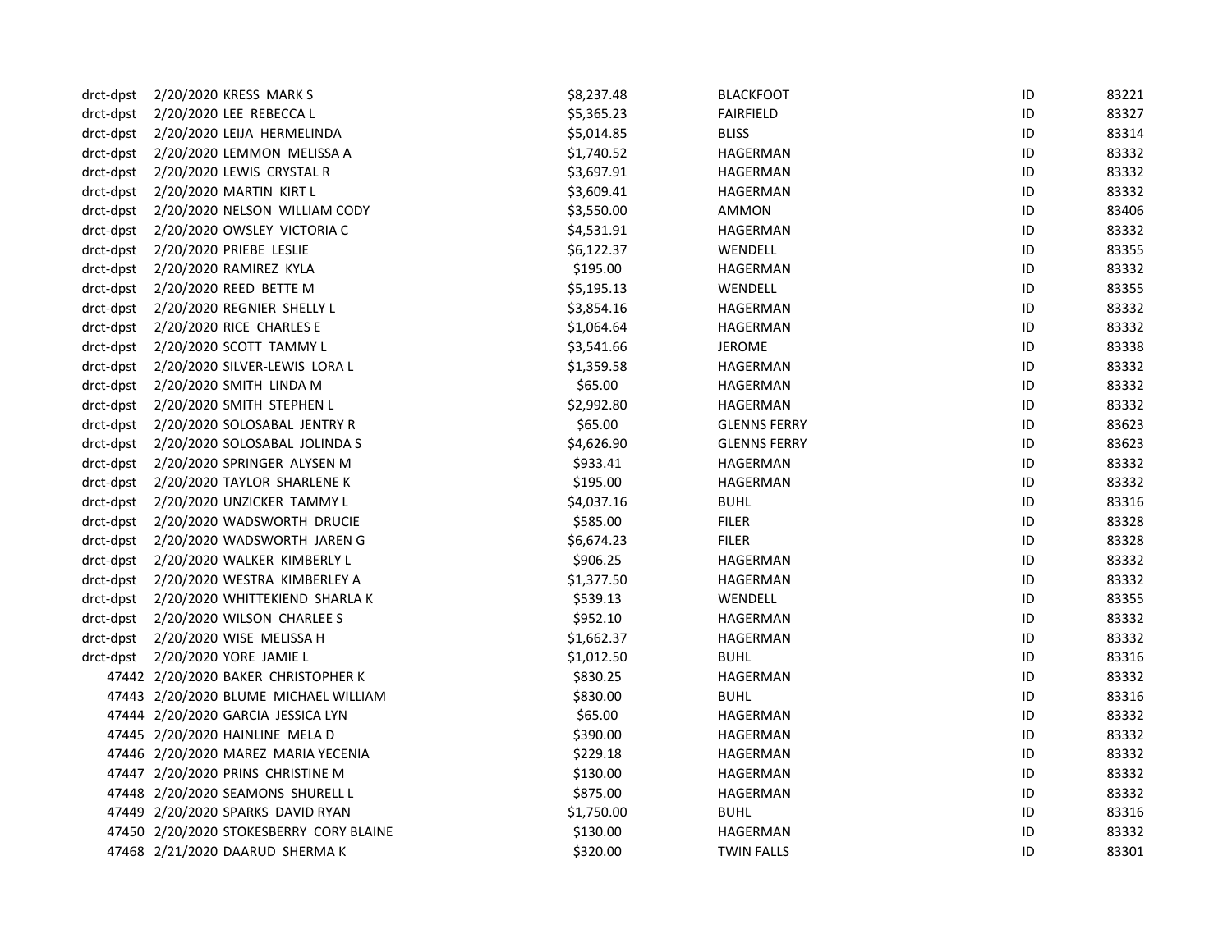| drct-dpst | 2/20/2020 KRESS MARK S                   | \$8,237.48 | <b>BLACKFOOT</b>    | ID | 83221 |
|-----------|------------------------------------------|------------|---------------------|----|-------|
| drct-dpst | 2/20/2020 LEE REBECCA L                  | \$5,365.23 | <b>FAIRFIELD</b>    | ID | 83327 |
| drct-dpst | 2/20/2020 LEIJA HERMELINDA               | \$5,014.85 | <b>BLISS</b>        | ID | 83314 |
| drct-dpst | 2/20/2020 LEMMON MELISSA A               | \$1,740.52 | HAGERMAN            | ID | 83332 |
| drct-dpst | 2/20/2020 LEWIS CRYSTAL R                | \$3,697.91 | HAGERMAN            | ID | 83332 |
| drct-dpst | 2/20/2020 MARTIN KIRT L                  | \$3,609.41 | HAGERMAN            | ID | 83332 |
| drct-dpst | 2/20/2020 NELSON WILLIAM CODY            | \$3,550.00 | AMMON               | ID | 83406 |
| drct-dpst | 2/20/2020 OWSLEY VICTORIA C              | \$4,531.91 | HAGERMAN            | ID | 83332 |
| drct-dpst | 2/20/2020 PRIEBE LESLIE                  | \$6,122.37 | WENDELL             | ID | 83355 |
| drct-dpst | 2/20/2020 RAMIREZ KYLA                   | \$195.00   | HAGERMAN            | ID | 83332 |
| drct-dpst | 2/20/2020 REED BETTE M                   | \$5,195.13 | WENDELL             | ID | 83355 |
| drct-dpst | 2/20/2020 REGNIER SHELLY L               | \$3,854.16 | HAGERMAN            | ID | 83332 |
| drct-dpst | 2/20/2020 RICE CHARLES E                 | \$1,064.64 | HAGERMAN            | ID | 83332 |
| drct-dpst | 2/20/2020 SCOTT TAMMY L                  | \$3,541.66 | JEROME              | ID | 83338 |
| drct-dpst | 2/20/2020 SILVER-LEWIS LORA L            | \$1,359.58 | HAGERMAN            | ID | 83332 |
| drct-dpst | 2/20/2020 SMITH LINDA M                  | \$65.00    | HAGERMAN            | ID | 83332 |
| drct-dpst | 2/20/2020 SMITH STEPHEN L                | \$2,992.80 | HAGERMAN            | ID | 83332 |
| drct-dpst | 2/20/2020 SOLOSABAL JENTRY R             | \$65.00    | <b>GLENNS FERRY</b> | ID | 83623 |
| drct-dpst | 2/20/2020 SOLOSABAL JOLINDA S            | \$4,626.90 | <b>GLENNS FERRY</b> | ID | 83623 |
| drct-dpst | 2/20/2020 SPRINGER ALYSEN M              | \$933.41   | HAGERMAN            | ID | 83332 |
| drct-dpst | 2/20/2020 TAYLOR SHARLENE K              | \$195.00   | HAGERMAN            | ID | 83332 |
| drct-dpst | 2/20/2020 UNZICKER TAMMY L               | \$4,037.16 | <b>BUHL</b>         | ID | 83316 |
| drct-dpst | 2/20/2020 WADSWORTH DRUCIE               | \$585.00   | <b>FILER</b>        | ID | 83328 |
| drct-dpst | 2/20/2020 WADSWORTH JAREN G              | \$6,674.23 | <b>FILER</b>        | ID | 83328 |
| drct-dpst | 2/20/2020 WALKER KIMBERLY L              | \$906.25   | HAGERMAN            | ID | 83332 |
| drct-dpst | 2/20/2020 WESTRA KIMBERLEY A             | \$1,377.50 | HAGERMAN            | ID | 83332 |
|           | drct-dpst 2/20/2020 WHITTEKIEND SHARLA K | \$539.13   | WENDELL             | ID | 83355 |
|           | drct-dpst 2/20/2020 WILSON CHARLEE S     | \$952.10   | HAGERMAN            | ID | 83332 |
| drct-dpst | 2/20/2020 WISE MELISSA H                 | \$1,662.37 | HAGERMAN            | ID | 83332 |
| drct-dpst | 2/20/2020 YORE JAMIE L                   | \$1,012.50 | <b>BUHL</b>         | ID | 83316 |
|           | 47442 2/20/2020 BAKER CHRISTOPHER K      | \$830.25   | HAGERMAN            | ID | 83332 |
|           | 47443 2/20/2020 BLUME MICHAEL WILLIAM    | \$830.00   | <b>BUHL</b>         | ID | 83316 |
|           | 47444 2/20/2020 GARCIA JESSICA LYN       | \$65.00    | HAGERMAN            | ID | 83332 |
|           | 47445 2/20/2020 HAINLINE MELA D          | \$390.00   | HAGERMAN            | ID | 83332 |
|           | 47446 2/20/2020 MAREZ MARIA YECENIA      | \$229.18   | HAGERMAN            | ID | 83332 |
|           | 47447 2/20/2020 PRINS CHRISTINE M        | \$130.00   | HAGERMAN            | ID | 83332 |
|           | 47448 2/20/2020 SEAMONS SHURELL L        | \$875.00   | HAGERMAN            | ID | 83332 |
|           | 47449 2/20/2020 SPARKS DAVID RYAN        | \$1,750.00 | <b>BUHL</b>         | ID | 83316 |
|           | 47450 2/20/2020 STOKESBERRY CORY BLAINE  | \$130.00   | HAGERMAN            | ID | 83332 |
|           | 47468 2/21/2020 DAARUD SHERMA K          | \$320.00   | <b>TWIN FALLS</b>   | ID | 83301 |